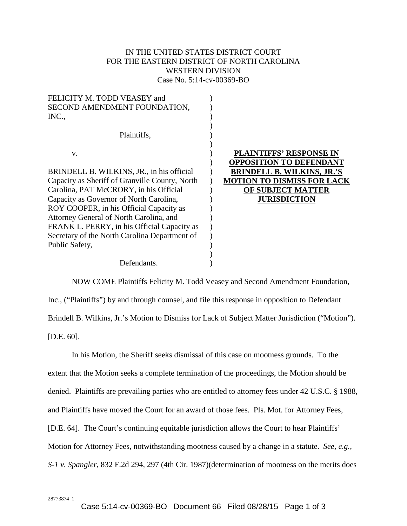# IN THE UNITED STATES DISTRICT COURT FOR THE EASTERN DISTRICT OF NORTH CAROLINA WESTERN DIVISION Case No. 5:14-cv-00369-BO

| FELICITY M. TODD VEASEY and                    |                                   |
|------------------------------------------------|-----------------------------------|
| SECOND AMENDMENT FOUNDATION,                   |                                   |
| INC.,                                          |                                   |
|                                                |                                   |
| Plaintiffs,                                    |                                   |
|                                                |                                   |
| V.                                             | PLAINTIFFS' RESPONSE IN           |
|                                                | OPPOSITION TO DEFENDANT           |
| BRINDELL B. WILKINS, JR., in his official      | <b>BRINDELL B. WILKINS, JR.'S</b> |
| Capacity as Sheriff of Granville County, North | <b>MOTION TO DISMISS FOR LACK</b> |
| Carolina, PAT McCRORY, in his Official         | OF SUBJECT MATTER                 |
| Capacity as Governor of North Carolina,        | <b>JURISDICTION</b>               |
| ROY COOPER, in his Official Capacity as        |                                   |
| Attorney General of North Carolina, and        |                                   |
| FRANK L. PERRY, in his Official Capacity as    |                                   |
| Secretary of the North Carolina Department of  |                                   |
| Public Safety,                                 |                                   |
|                                                |                                   |
|                                                |                                   |
| Defendants.                                    |                                   |

NOW COME Plaintiffs Felicity M. Todd Veasey and Second Amendment Foundation, Inc., ("Plaintiffs") by and through counsel, and file this response in opposition to Defendant Brindell B. Wilkins, Jr.'s Motion to Dismiss for Lack of Subject Matter Jurisdiction ("Motion"). [D.E. 60].

In his Motion, the Sheriff seeks dismissal of this case on mootness grounds. To the extent that the Motion seeks a complete termination of the proceedings, the Motion should be denied. Plaintiffs are prevailing parties who are entitled to attorney fees under 42 U.S.C. § 1988, and Plaintiffs have moved the Court for an award of those fees. Pls. Mot. for Attorney Fees, [D.E. 64]. The Court's continuing equitable jurisdiction allows the Court to hear Plaintiffs' Motion for Attorney Fees, notwithstanding mootness caused by a change in a statute. *See, e.g., S-1 v. Spangler,* 832 F.2d 294, 297 (4th Cir. 1987)(determination of mootness on the merits does

28773874\_1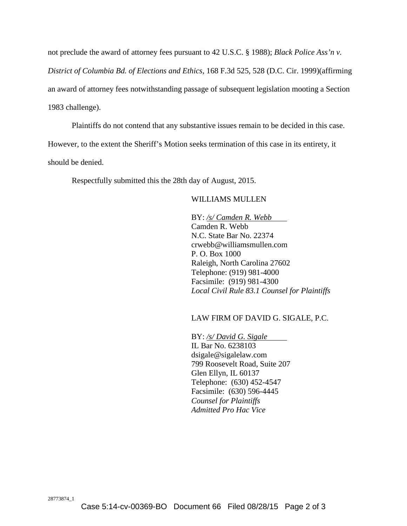not preclude the award of attorney fees pursuant to 42 U.S.C. § 1988); *Black Police Ass'n v.*

*District of Columbia Bd. of Elections and Ethics*, 168 F.3d 525, 528 (D.C. Cir. 1999)(affirming

an award of attorney fees notwithstanding passage of subsequent legislation mooting a Section

1983 challenge).

Plaintiffs do not contend that any substantive issues remain to be decided in this case.

However, to the extent the Sheriff's Motion seeks termination of this case in its entirety, it

should be denied.

Respectfully submitted this the 28th day of August, 2015.

## WILLIAMS MULLEN

BY: */s/ Camden R. Webb* Camden R. Webb N.C. State Bar No. 22374 crwebb@williamsmullen.com P. O. Box 1000 Raleigh, North Carolina 27602 Telephone: (919) 981-4000 Facsimile: (919) 981-4300 *Local Civil Rule 83.1 Counsel for Plaintiffs*

## LAW FIRM OF DAVID G. SIGALE, P.C.

BY: */s/ David G. Sigale* IL Bar No. 6238103 dsigale@sigalelaw.com 799 Roosevelt Road, Suite 207 Glen Ellyn, IL 60137 Telephone: (630) 452-4547 Facsimile: (630) 596-4445 *Counsel for Plaintiffs Admitted Pro Hac Vice*